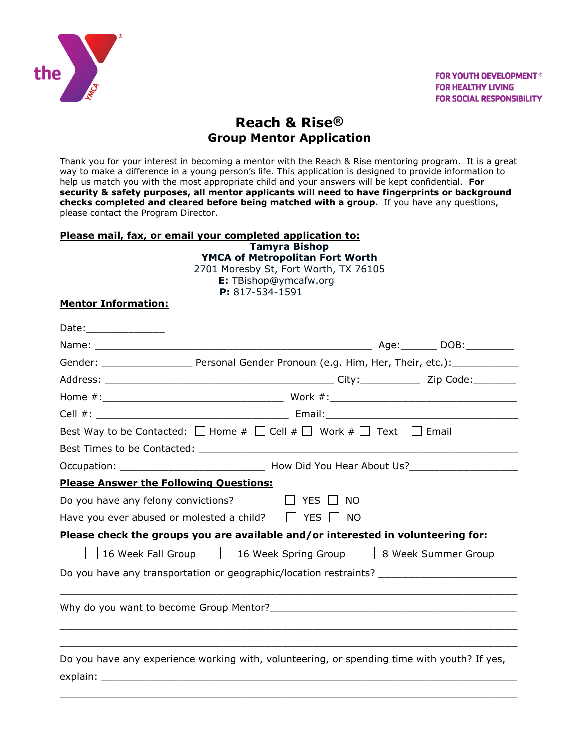

# **Reach & Rise® Group Mentor Application**

Thank you for your interest in becoming a mentor with the Reach & Rise mentoring program. It is a great way to make a difference in a young person's life. This application is designed to provide information to help us match you with the most appropriate child and your answers will be kept confidential. **For security & safety purposes, all mentor applicants will need to have fingerprints or background checks completed and cleared before being matched with a group.** If you have any questions, please contact the Program Director.

#### **Please mail, fax, or email your completed application to: Tamyra Bishop YMCA of Metropolitan Fort Worth**

2701 Moresby St, Fort Worth, TX 76105  **E:** TBishop@ymcafw.org **P:** 817-534-1591

# **Mentor Information:**

| Date:_________________                                          |  |                                                                                                                                                                                                                                |  |  |
|-----------------------------------------------------------------|--|--------------------------------------------------------------------------------------------------------------------------------------------------------------------------------------------------------------------------------|--|--|
|                                                                 |  |                                                                                                                                                                                                                                |  |  |
|                                                                 |  |                                                                                                                                                                                                                                |  |  |
|                                                                 |  |                                                                                                                                                                                                                                |  |  |
|                                                                 |  |                                                                                                                                                                                                                                |  |  |
|                                                                 |  |                                                                                                                                                                                                                                |  |  |
|                                                                 |  | Best Way to be Contacted: $\Box$ Home $\#$ $\Box$ Cell $\#$ $\Box$ Work $\#$ $\Box$ Text $\Box$ Email                                                                                                                          |  |  |
|                                                                 |  | Best Times to be Contacted: Later and the contract of the contract of the contract of the contract of the contract of the contract of the contract of the contract of the contract of the contract of the contract of the cont |  |  |
|                                                                 |  |                                                                                                                                                                                                                                |  |  |
| <b>Please Answer the Following Questions:</b>                   |  |                                                                                                                                                                                                                                |  |  |
| Do you have any felony convictions? $\Box$ YES $\Box$ NO        |  |                                                                                                                                                                                                                                |  |  |
|                                                                 |  | Have you ever abused or molested a child? $\Box$ YES $\Box$ NO                                                                                                                                                                 |  |  |
|                                                                 |  | Please check the groups you are available and/or interested in volunteering for:                                                                                                                                               |  |  |
| 16 Week Fall Group   16 Week Spring Group   8 Week Summer Group |  |                                                                                                                                                                                                                                |  |  |
|                                                                 |  | Do you have any transportation or geographic/location restraints?                                                                                                                                                              |  |  |
|                                                                 |  |                                                                                                                                                                                                                                |  |  |
|                                                                 |  | Do you have any experience working with, volunteering, or spending time with youth? If yes,                                                                                                                                    |  |  |
|                                                                 |  |                                                                                                                                                                                                                                |  |  |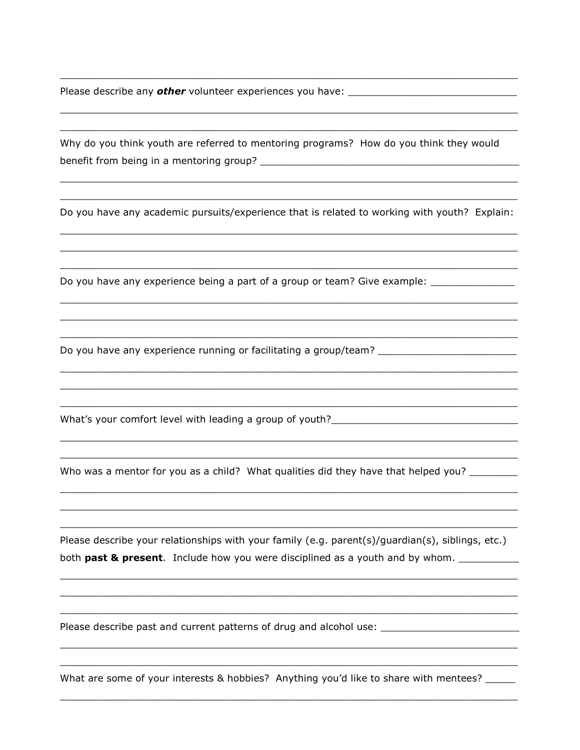Please describe any **other** volunteer experiences you have: \_\_\_\_\_\_\_\_\_\_\_\_\_\_\_\_\_\_\_\_\_\_

Why do you think youth are referred to mentoring programs? How do you think they would 

Do you have any academic pursuits/experience that is related to working with youth? Explain:

Do you have any experience being a part of a group or team? Give example: \_\_\_\_\_\_\_\_\_\_\_\_\_

Do you have any experience running or facilitating a group/team? \_\_\_\_\_\_\_\_\_\_\_\_\_\_\_\_

What's your comfort level with leading a group of youth?\_\_\_\_\_\_\_\_\_\_\_\_\_\_\_\_\_\_\_\_\_\_\_\_

Who was a mentor for you as a child? What qualities did they have that helped you?

Please describe your relationships with your family (e.g. parent(s)/guardian(s), siblings, etc.) both past & present. Include how you were disciplined as a youth and by whom. \_\_\_\_\_\_\_\_\_\_

Please describe past and current patterns of drug and alcohol use: \_\_\_\_\_\_\_\_\_\_\_\_\_

What are some of your interests & hobbies? Anything you'd like to share with mentees? \_\_\_\_\_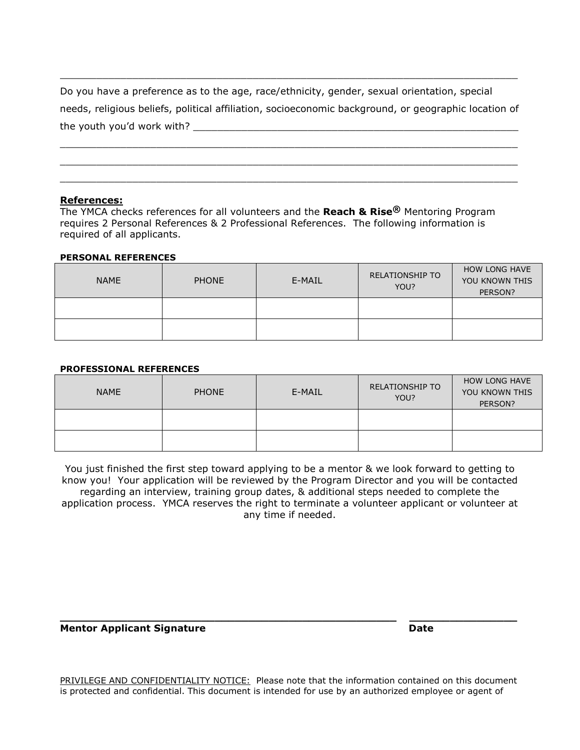| Do you have a preference as to the age, race/ethnicity, gender, sexual orientation, special          |
|------------------------------------------------------------------------------------------------------|
| needs, religious beliefs, political affiliation, socioeconomic background, or geographic location of |
| the youth you'd work with?                                                                           |

\_\_\_\_\_\_\_\_\_\_\_\_\_\_\_\_\_\_\_\_\_\_\_\_\_\_\_\_\_\_\_\_\_\_\_\_\_\_\_\_\_\_\_\_\_\_\_\_\_\_\_\_\_\_\_\_\_\_\_\_\_\_\_\_\_\_\_\_\_\_\_\_\_\_\_\_ \_\_\_\_\_\_\_\_\_\_\_\_\_\_\_\_\_\_\_\_\_\_\_\_\_\_\_\_\_\_\_\_\_\_\_\_\_\_\_\_\_\_\_\_\_\_\_\_\_\_\_\_\_\_\_\_\_\_\_\_\_\_\_\_\_\_\_\_\_\_\_\_\_\_\_\_ \_\_\_\_\_\_\_\_\_\_\_\_\_\_\_\_\_\_\_\_\_\_\_\_\_\_\_\_\_\_\_\_\_\_\_\_\_\_\_\_\_\_\_\_\_\_\_\_\_\_\_\_\_\_\_\_\_\_\_\_\_\_\_\_\_\_\_\_\_\_\_\_\_\_\_\_

\_\_\_\_\_\_\_\_\_\_\_\_\_\_\_\_\_\_\_\_\_\_\_\_\_\_\_\_\_\_\_\_\_\_\_\_\_\_\_\_\_\_\_\_\_\_\_\_\_\_\_\_\_\_\_\_\_\_\_\_\_\_\_\_\_\_\_\_\_\_\_\_\_\_\_\_

## **References:**

The YMCA checks references for all volunteers and the **Reach & Rise®** Mentoring Program requires 2 Personal References & 2 Professional References. The following information is required of all applicants.

#### **PERSONAL REFERENCES**

| <b>NAME</b> | <b>PHONE</b> | E-MAIL | <b>RELATIONSHIP TO</b><br>YOU? | <b>HOW LONG HAVE</b><br>YOU KNOWN THIS<br>PERSON? |
|-------------|--------------|--------|--------------------------------|---------------------------------------------------|
|             |              |        |                                |                                                   |
|             |              |        |                                |                                                   |

## **PROFESSIONAL REFERENCES**

| <b>NAME</b> | <b>PHONE</b> | E-MAIL | <b>RELATIONSHIP TO</b><br>YOU? | <b>HOW LONG HAVE</b><br>YOU KNOWN THIS<br>PERSON? |
|-------------|--------------|--------|--------------------------------|---------------------------------------------------|
|             |              |        |                                |                                                   |
|             |              |        |                                |                                                   |

You just finished the first step toward applying to be a mentor & we look forward to getting to know you! Your application will be reviewed by the Program Director and you will be contacted regarding an interview, training group dates, & additional steps needed to complete the application process. YMCA reserves the right to terminate a volunteer applicant or volunteer at any time if needed.

## **Mentor Applicant Signature Date** Date

[PRIVILEGE AND CONFIDENTIALITY NOTICE:](http://www.ymcasf.org/) Please note that the information contained on this document [is protected and confidential. This document is intended for use by an authorized employee or agent of](http://www.ymcasf.org/) 

**\_\_\_\_\_\_\_\_\_\_\_\_\_\_\_\_\_\_\_\_\_\_\_\_\_\_\_\_\_\_\_\_\_\_\_\_\_\_\_\_\_\_\_\_\_\_\_\_\_\_ \_\_\_\_\_\_\_\_\_\_\_\_\_\_\_\_**